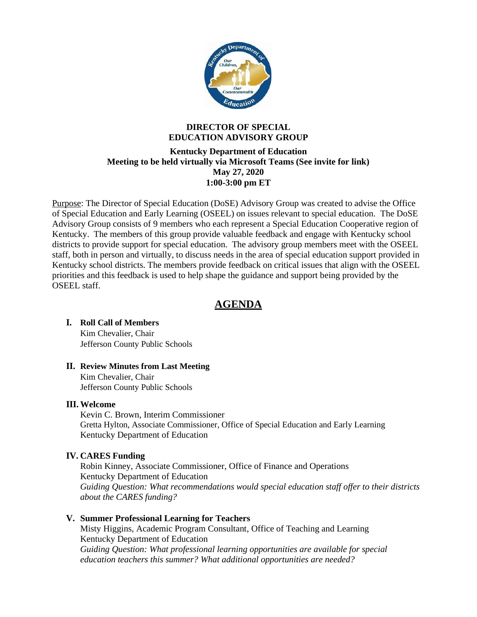

# **DIRECTOR OF SPECIAL EDUCATION ADVISORY GROUP**

# **Kentucky Department of Education Meeting to be held virtually via Microsoft Teams (See invite for link) May 27, 2020 1:00-3:00 pm ET**

Purpose: The Director of Special Education (DoSE) Advisory Group was created to advise the Office of Special Education and Early Learning (OSEEL) on issues relevant to special education. The DoSE Advisory Group consists of 9 members who each represent a Special Education Cooperative region of Kentucky. The members of this group provide valuable feedback and engage with Kentucky school districts to provide support for special education. The advisory group members meet with the OSEEL staff, both in person and virtually, to discuss needs in the area of special education support provided in Kentucky school districts. The members provide feedback on critical issues that align with the OSEEL priorities and this feedback is used to help shape the guidance and support being provided by the OSEEL staff.

# **AGENDA**

# **I. Roll Call of Members**

Kim Chevalier, Chair Jefferson County Public Schools

# **II. Review Minutes from Last Meeting**

Kim Chevalier, Chair Jefferson County Public Schools

# **III. Welcome**

Kevin C. Brown, Interim Commissioner Gretta Hylton, Associate Commissioner, Office of Special Education and Early Learning Kentucky Department of Education

# **IV. CARES Funding**

Robin Kinney, Associate Commissioner, Office of Finance and Operations Kentucky Department of Education *Guiding Question: What recommendations would special education staff offer to their districts about the CARES funding?*

# **V. Summer Professional Learning for Teachers**

Misty Higgins, Academic Program Consultant, Office of Teaching and Learning Kentucky Department of Education *Guiding Question: What professional learning opportunities are available for special education teachers this summer? What additional opportunities are needed?*